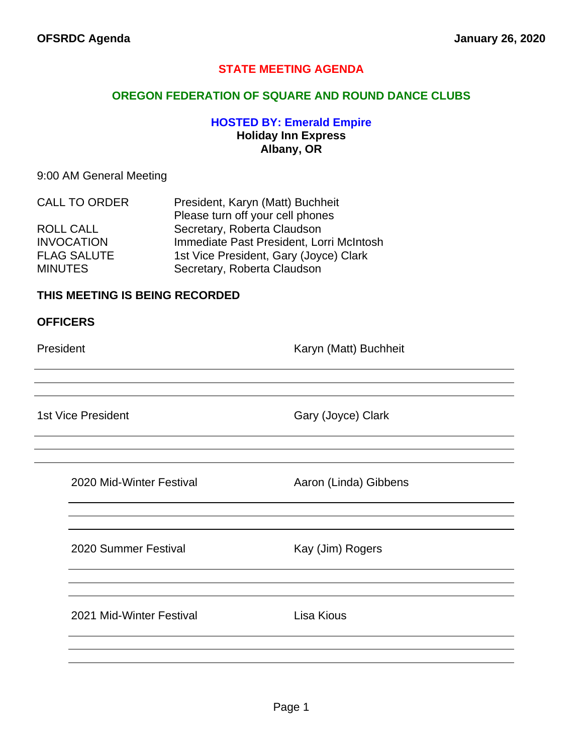## **STATE MEETING AGENDA**

### **OREGON FEDERATION OF SQUARE AND ROUND DANCE CLUBS**

## **HOSTED BY: Emerald Empire Holiday Inn Express Albany, OR**

#### 9:00 AM General Meeting

| <b>CALL TO ORDER</b> | President, Karyn (Matt) Buchheit         |  |
|----------------------|------------------------------------------|--|
|                      | Please turn off your cell phones         |  |
| ROLL CALL            | Secretary, Roberta Claudson              |  |
| <b>INVOCATION</b>    | Immediate Past President, Lorri McIntosh |  |
| <b>FLAG SALUTE</b>   | 1st Vice President, Gary (Joyce) Clark   |  |
| <b>MINUTES</b>       | Secretary, Roberta Claudson              |  |

## **THIS MEETING IS BEING RECORDED**

#### **OFFICERS**

President **Karyn (Matt)** Buchheit

1st Vice President Gary (Joyce) Clark

2020 Mid-Winter Festival **Aaron (Linda)** Gibbens

2020 Summer Festival Kay (Jim) Rogers

2021 Mid-Winter Festival **Lisa Kious**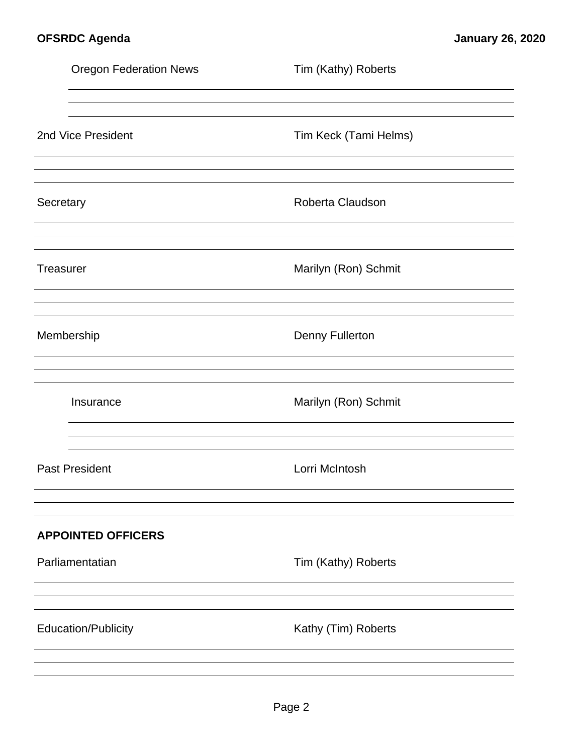|           | <b>Oregon Federation News</b> | Tim (Kathy) Roberts    |
|-----------|-------------------------------|------------------------|
|           |                               |                        |
|           | 2nd Vice President            | Tim Keck (Tami Helms)  |
|           |                               |                        |
| Secretary |                               | Roberta Claudson       |
|           |                               |                        |
| Treasurer |                               | Marilyn (Ron) Schmit   |
|           |                               |                        |
|           | Membership                    | <b>Denny Fullerton</b> |
|           |                               |                        |
|           | Insurance                     | Marilyn (Ron) Schmit   |
|           |                               |                        |
|           | <b>Past President</b>         | Lorri McIntosh         |
|           |                               |                        |
|           | <b>APPOINTED OFFICERS</b>     |                        |
|           | Parliamentatian               | Tim (Kathy) Roberts    |
|           |                               |                        |
|           | <b>Education/Publicity</b>    | Kathy (Tim) Roberts    |
|           |                               |                        |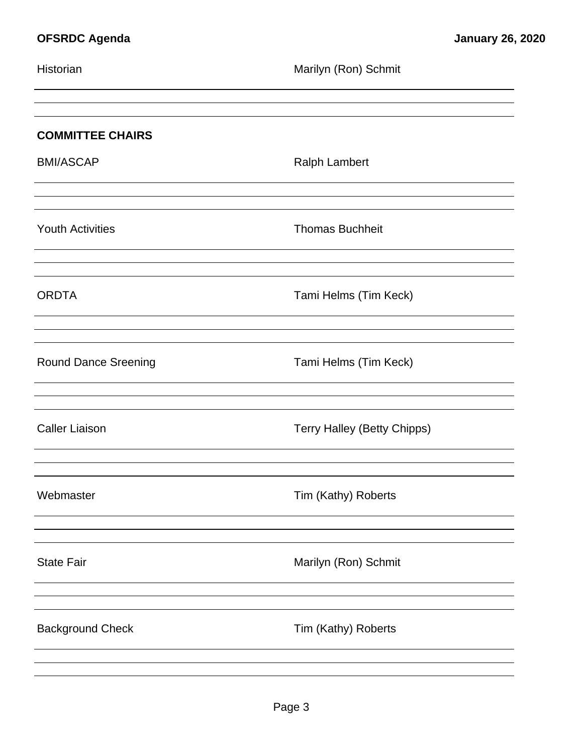| Marilyn (Ron) Schmit               |
|------------------------------------|
|                                    |
| <b>Ralph Lambert</b>               |
| <b>Thomas Buchheit</b>             |
| Tami Helms (Tim Keck)              |
| Tami Helms (Tim Keck)              |
| <b>Terry Halley (Betty Chipps)</b> |
| Tim (Kathy) Roberts                |
| Marilyn (Ron) Schmit               |
| Tim (Kathy) Roberts                |
|                                    |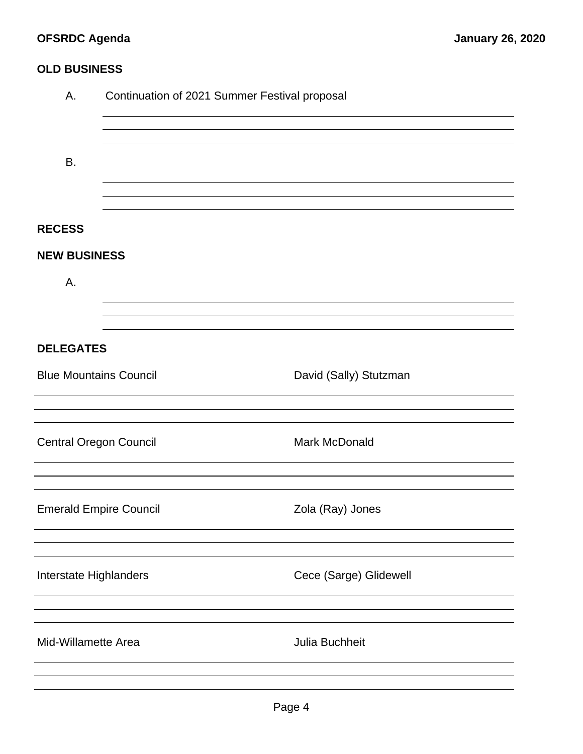# **OFSRDC Agenda January 26, 2020**

## **OLD BUSINESS**

| Α.                            | Continuation of 2021 Summer Festival proposal |                        |  |  |  |
|-------------------------------|-----------------------------------------------|------------------------|--|--|--|
| B.                            |                                               |                        |  |  |  |
| <b>RECESS</b>                 |                                               |                        |  |  |  |
| <b>NEW BUSINESS</b>           |                                               |                        |  |  |  |
| А.                            |                                               |                        |  |  |  |
|                               |                                               |                        |  |  |  |
| <b>DELEGATES</b>              |                                               |                        |  |  |  |
| <b>Blue Mountains Council</b> |                                               | David (Sally) Stutzman |  |  |  |
|                               |                                               |                        |  |  |  |
| <b>Central Oregon Council</b> |                                               | Mark McDonald          |  |  |  |
| <b>Emerald Empire Council</b> |                                               | Zola (Ray) Jones       |  |  |  |
|                               |                                               |                        |  |  |  |
| Interstate Highlanders        |                                               | Cece (Sarge) Glidewell |  |  |  |
|                               |                                               |                        |  |  |  |
| Mid-Willamette Area           |                                               | Julia Buchheit         |  |  |  |
|                               |                                               |                        |  |  |  |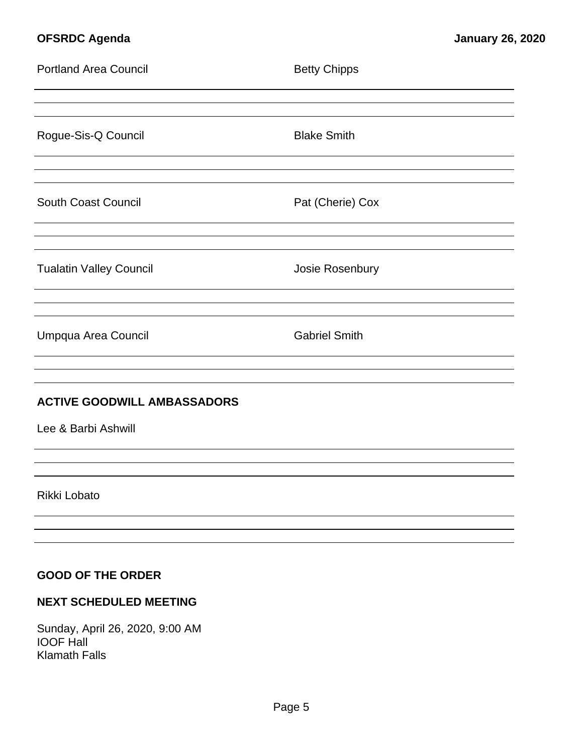# **OFSRDC Agenda January 26, 2020**

| <b>Portland Area Council</b>       | <b>Betty Chipps</b>  |
|------------------------------------|----------------------|
|                                    |                      |
| Rogue-Sis-Q Council                | <b>Blake Smith</b>   |
|                                    |                      |
| South Coast Council                | Pat (Cherie) Cox     |
|                                    |                      |
| <b>Tualatin Valley Council</b>     | Josie Rosenbury      |
|                                    |                      |
| Umpqua Area Council                | <b>Gabriel Smith</b> |
|                                    |                      |
| <b>ACTIVE GOODWILL AMBASSADORS</b> |                      |
| Lee & Barbi Ashwill                |                      |
|                                    |                      |
| Rikki Lobato                       |                      |
|                                    |                      |
|                                    |                      |
| <b>GOOD OF THE ORDER</b>           |                      |
| <b>NEXT SCHEDULED MEETING</b>      |                      |

Sunday, April 26, 2020, 9:00 AM IOOF Hall Klamath Falls